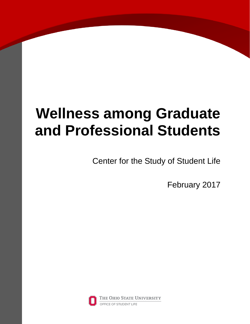# **Wellness among Graduate and Professional Students**

Center for the Study of Student Life

February 2017

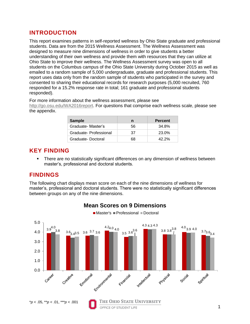# **INTRODUCTION**

This report examines patterns in self-reported wellness by Ohio State graduate and professional students. Data are from the 2015 Wellness Assessment. The Wellness Assessment was designed to measure nine dimensions of wellness in order to give students a better understanding of their own wellness and provide them with resources that they can utilize at Ohio State to improve their wellness. The Wellness Assessment survey was open to all students on the Columbus campus of the Ohio State University during October 2015 as well as emailed to a random sample of 5,000 undergraduate, graduate and professional students. This report uses data only from the random sample of students who participated in the survey and consented to sharing their educational records for research purposes (5,000 recruited, 760 responded for a 15.2% response rate in total; 161 graduate and professional students responded).

For more information about the wellness assessment, please see

[http://go.osu.edu/WA2016report.](http://go.osu.edu/WA2016report) For questions that comprise each wellness scale, please see the appendix.

| <b>Sample</b>          | n  | <b>Percent</b> |
|------------------------|----|----------------|
| Graduate-Master's      | 56 | 34.8%          |
| Graduate- Professional | 37 | 23.0%          |
| Graduate-Doctoral      | 68 | $42.2\%$       |

# **KEY FINDING**

 There are no statistically significant differences on any dimension of wellness between master's, professional and doctoral students.

# **FINDINGS**

The following chart displays mean score on each of the nine dimensions of wellness for master's, professional and doctoral students. There were no statistically significant differences between groups on any of the nine dimensions.



# **Mean Scores on 9 Dimensions** ■ Master's ■ Professional ■ Doctoral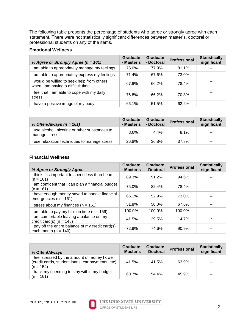The following table presents the percentage of students who agree or strongly agree with each statement. There were not statistically significant differences between master's, doctoral or professional students on any of the items.

### **Emotional Wellness**

| % Agree or Strongly Agree (n = 161)                                            | Graduate<br>- Master's | Graduate<br>- Doctoral | <b>Professional</b> | <b>Statistically</b><br>significant |
|--------------------------------------------------------------------------------|------------------------|------------------------|---------------------|-------------------------------------|
| am able to appropriately manage my feelings                                    | 75.0%                  | 77.9%                  | 81.1%               |                                     |
| am able to appropriately express my feelings                                   | 71.4%                  | 67.6%                  | 73.0%               | --                                  |
| would be willing to seek help from others<br>when I am having a difficult time | 67.9%                  | 66.2%                  | 78.4%               |                                     |
| feel that I am able to cope with my daily<br>stress                            | 76.8%                  | 66.2%                  | 70.3%               |                                     |
| have a positive image of my body                                               | 66.1%                  | 51.5%                  | 62.2%               |                                     |

| % Often/Always $(n = 161)$                                    | <b>Graduate</b><br>- Master's | Graduate<br>- Doctoral | <b>Professional</b> | <b>Statistically</b><br>significant |
|---------------------------------------------------------------|-------------------------------|------------------------|---------------------|-------------------------------------|
| use alcohol, nicotine or other substances to<br>manage stress | 3.6%                          | 4.4%                   | 8.1%                | $\sim$ $\sim$                       |
| use relaxation techniques to manage stress                    | 26.8%                         | 36.8%                  | 37.8%               | $\sim$                              |

#### **Financial Wellness**

| % Agree or Strongly Agree                                                     | <b>Graduate</b><br>- Master's | Graduate<br>- Doctoral | <b>Professional</b> | <b>Statistically</b><br>significant |
|-------------------------------------------------------------------------------|-------------------------------|------------------------|---------------------|-------------------------------------|
| I think it is important to spend less than I earn<br>$(n = 161)$              | 89.3%                         | 91.2%                  | 94.6%               |                                     |
| am confident that I can plan a financial budget<br>(n = 161)                  | 75.0%                         | 82.4%                  | 78.4%               |                                     |
| I have enough money saved to handle financial<br>emergencies ( $n = 161$ )    | 66.1%                         | 52.9%                  | 73.0%               |                                     |
| stress about my finances ( $n = 161$ )                                        | 51.8%                         | 50.0%                  | 67.6%               |                                     |
| am able to pay my bills on time $(n = 159)$                                   | 100.0%                        | 100.0%                 | 100.0%              |                                     |
| am comfortable leaving a balance on my<br>credit card(s) $(n = 148)$          | 41.5%                         | 29.5%                  | 14.7%               | $\star$                             |
| I pay off the entire balance of my credit card(s)<br>each month ( $n = 140$ ) | 72.9%                         | 74.6%                  | 90.9%               |                                     |

| % Often/Always                                                                                                  | Graduate<br>- Master's | Graduate<br>- Doctoral | <b>Professional</b> | <b>Statistically</b><br>significant |
|-----------------------------------------------------------------------------------------------------------------|------------------------|------------------------|---------------------|-------------------------------------|
| I feel stressed by the amount of money I owe<br>(credit cards, student loans, car payments, etc)<br>$(n = 154)$ | 41.5%                  | 41.5%                  | 63.9%               | $-$                                 |
| I track my spending to stay within my budget<br>$(n = 161)$                                                     | 60.7%                  | 54.4%                  | 45.9%               | --                                  |

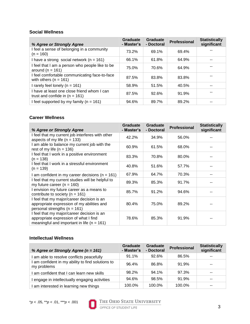#### **Social Wellness**

| % Agree or Strongly Agree                                                       | <b>Graduate</b><br>- Master's | <b>Graduate</b><br>- Doctoral | Professional | <b>Statistically</b><br>significant |
|---------------------------------------------------------------------------------|-------------------------------|-------------------------------|--------------|-------------------------------------|
| I feel a sense of belonging in a community<br>$(n = 160)$                       | 73.2%                         | 69.1%                         | 69.4%        |                                     |
| I have a strong social network $(n = 161)$                                      | 66.1%                         | 61.8%                         | 64.9%        |                                     |
| I feel that I am a person who people like to be<br>around ( $n = 161$ )         | 75.0%                         | 70.6%                         | 64.9%        |                                     |
| I feel comfortable communicating face-to-face<br>with others $(n = 161)$        | 87.5%                         | 83.8%                         | 83.8%        |                                     |
| I rarely feel lonely ( $n = 161$ )                                              | 58.9%                         | 51.5%                         | 40.5%        |                                     |
| I have at least one close friend whom I can<br>trust and confide in $(n = 161)$ | 87.5%                         | 92.6%                         | 91.9%        |                                     |
| I feel supported by my family $(n = 161)$                                       | 94.6%                         | 89.7%                         | 89.2%        |                                     |

#### **Career Wellness**

| % Agree or Strongly Agree                                                                                                             | Graduate<br>- Master's | Graduate<br>- Doctoral | <b>Professional</b> | <b>Statistically</b><br>significant |
|---------------------------------------------------------------------------------------------------------------------------------------|------------------------|------------------------|---------------------|-------------------------------------|
| I feel that my current job interferes with other<br>aspects of my life ( $n = 133$ )                                                  | 42.2%                  | 34.9%                  | 56.0%               |                                     |
| I am able to balance my current job with the<br>rest of my life $(n = 136)$                                                           | 60.9%                  | 61.5%                  | 68.0%               |                                     |
| I feel that I work in a positive environment<br>$(n = 138)$                                                                           | 83.3%                  | 70.8%                  | 80.0%               |                                     |
| I feel that I work in a stressful environment<br>$(n = 139)$                                                                          | 40.8%                  | 51.6%                  | 57.7%               |                                     |
| I am confident in my career decisions ( $n = 161$ )                                                                                   | 67.9%                  | 64.7%                  | 70.3%               |                                     |
| I feel that my current studies will be helpful to<br>my future career ( $n = 160$ )                                                   | 89.3%                  | 85.3%                  | 91.7%               |                                     |
| I envision my future career as a means to<br>contribute to society ( $n = 161$ )                                                      | 85.7%                  | 91.2%                  | 94.6%               |                                     |
| I feel that my major/career decision is an<br>appropriate expression of my abilities and<br>personal strengths ( $n = 161$ )          | 80.4%                  | 75.0%                  | 89.2%               |                                     |
| I feel that my major/career decision is an<br>appropriate expression of what I find<br>meaningful and important in life ( $n = 161$ ) | 78.6%                  | 85.3%                  | 91.9%               |                                     |

# **Intellectual Wellness**

| % Agree or Strongly Agree (n = 161)                            | <b>Graduate</b><br>- Master's | <b>Graduate</b><br>- Doctoral | <b>Professional</b> | <b>Statistically</b><br>significant |
|----------------------------------------------------------------|-------------------------------|-------------------------------|---------------------|-------------------------------------|
| am able to resolve conflicts peacefully                        | 91.1%                         | 92.6%                         | 86.5%               |                                     |
| am confident in my ability to find solutions to<br>my problems | 96.4%                         | 86.8%                         | 91.9%               |                                     |
| am confident that I can learn new skills                       | 98.2%                         | 94.1%                         | 97.3%               |                                     |
| engage in intellectually engaging activities                   | 94.6%                         | 98.5%                         | 91.9%               |                                     |
| am interested in learning new things                           | 100.0%                        | 100.0%                        | 100.0%              |                                     |



# THE OHIO STATE UNIVERSITY<br>OFFICE OF STUDENT LIFE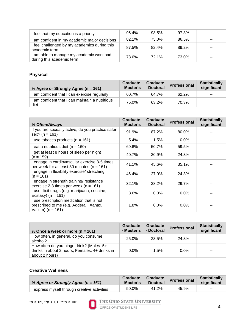| feel that my education is a priority                                | 96.4% | 98.5% | 97.3% | -- |
|---------------------------------------------------------------------|-------|-------|-------|----|
| am confident in my academic major decisions                         | 82.1% | 75.0% | 86.5% | -- |
| feel challenged by my academics during this<br>academic term        | 87.5% | 82.4% | 89.2% | -- |
| am able to manage my academic workload<br>during this academic term | 78.6% | 72.1% | 73.0% | -- |

# **Physical**

| % Agree or Strongly Agree (n = 161)                     | <b>Graduate</b><br>- Master's | Graduate<br>- Doctoral | Professional | <b>Statistically</b><br>significant |
|---------------------------------------------------------|-------------------------------|------------------------|--------------|-------------------------------------|
| I am confident that I can exercise regularly            | 60.7%                         | 64.7%                  | 62.2%        | $-$                                 |
| I am confident that I can maintain a nutritious<br>diet | 75.0%                         | 63.2%                  | 70.3%        | $-$                                 |

| % Often/Always                                                                                                | Graduate<br>- Master's | Graduate<br>- Doctoral | <b>Professional</b> | <b>Statistically</b><br>significant |
|---------------------------------------------------------------------------------------------------------------|------------------------|------------------------|---------------------|-------------------------------------|
| If you are sexually active, do you practice safer<br>sex? ( $n = 161$ )                                       | 91.9%                  | 87.2%                  | 80.0%               |                                     |
| I use tobacco products ( $n = 161$ )                                                                          | 5.4%                   | 1.5%                   | $0.0\%$             |                                     |
| I eat a nutritious diet ( $n = 160$ )                                                                         | 69.6%                  | 50.7%                  | 59.5%               |                                     |
| I get at least 8 hours of sleep per night<br>(n = 159)                                                        | 40.7%                  | 30.9%                  | 24.3%               |                                     |
| I engage in cardiovascular exercise 3-5 times<br>per week for at least 30 minutes ( $n = 161$ )               | 41.1%                  | 45.6%                  | 35.1%               |                                     |
| I engage in flexibility exercise/ stretching<br>$(n = 161)$                                                   | 46.4%                  | 27.9%                  | 24.3%               |                                     |
| I engage in strength training/ resistance<br>exercise 2-3 times per week ( $n = 161$ )                        | 32.1%                  | 38.2%                  | 29.7%               |                                     |
| I use illicit drugs (e.g. marijuana, cocaine,<br>Ecstasy) ( $n = 161$ )                                       | 3.6%                   | $0.0\%$                | $0.0\%$             |                                     |
| I use prescription medication that is not<br>prescribed to me (e.g. Adderall, Xanax,<br>Valium) ( $n = 161$ ) | 1.8%                   | $0.0\%$                | $0.0\%$             |                                     |

| % Once a week or more ( $n = 161$ )                                                                          | Graduate<br>- Master's | Graduate<br>- Doctoral | <b>Professional</b> | <b>Statistically</b><br>significant |
|--------------------------------------------------------------------------------------------------------------|------------------------|------------------------|---------------------|-------------------------------------|
| How often, in general, do you consume<br>alcohol?                                                            | 25.0%                  | 23.5%                  | 24.3%               | $-$                                 |
| How often do you binge drink? (Males: 5+<br>drinks in about 2 hours, Females: 4+ drinks in<br>about 2 hours) | $0.0\%$                | 1.5%                   | $0.0\%$             | $- -$                               |

# **Creative Wellness**

| % Agree or Strongly Agree ( $n = 161$ )    | <b>Graduate</b><br>ົ- Master's ∖ | <b>Graduate</b><br>- Doctoral | Professional | <b>Statistically</b><br>significant |
|--------------------------------------------|----------------------------------|-------------------------------|--------------|-------------------------------------|
| express myself through creative activities | 50.0%                            | 41.2%                         | 45.9%        | $-$                                 |

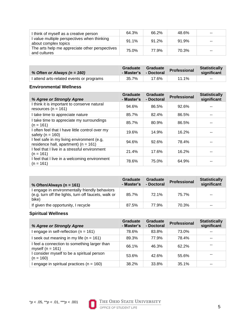| I think of myself as a creative person                              | 64.3%    | 66.2%    | 48.6% | $-$   |
|---------------------------------------------------------------------|----------|----------|-------|-------|
| I value multiple perspectives when thinking<br>about complex topics | $91.1\%$ | $91.2\%$ | 91.9% | $- -$ |
| The arts help me appreciate other perspectives<br>and cultures      | 75.0%    | 77.9%    | 70.3% | $-$   |

| % Often or Always $(n = 160)$            | Graduate<br>- Master's | <b>Graduate</b><br>- Doctoral | Professional | <b>Statistically</b><br>significant |
|------------------------------------------|------------------------|-------------------------------|--------------|-------------------------------------|
| I attend arts-related events or programs | 35.7%                  | 17.6%                         | 11.1%        | $\sim$ $\sim$                       |

# **Environmental Wellness**

| % Agree or Strongly Agree                                                              | <b>Graduate</b><br>- Master's | <b>Graduate</b><br>- Doctoral | <b>Professional</b> | <b>Statistically</b><br>significant |
|----------------------------------------------------------------------------------------|-------------------------------|-------------------------------|---------------------|-------------------------------------|
| think it is important to conserve natural<br>resources ( $n = 161$ )                   | 94.6%                         | 86.5%                         | 92.6%               |                                     |
| take time to appreciate nature                                                         | 85.7%                         | 82.4%                         | 86.5%               |                                     |
| take time to appreciate my surroundings<br>$(n = 161)$                                 | 85.7%                         | 80.9%                         | 86.5%               |                                     |
| often feel that I have little control over my<br>safety ( $n = 160$ )                  | 19.6%                         | 14.9%                         | 16.2%               |                                     |
| I feel safe in my living environment (e.g,<br>residence hall, apartment) ( $n = 161$ ) | 94.6%                         | 92.6%                         | 78.4%               |                                     |
| I feel that I live in a stressful environment<br>$(n = 161)$                           | 21.4%                         | 17.6%                         | 16.2%               |                                     |
| I feel that I live in a welcoming environment<br>$(n = 161)$                           | 78.6%                         | 75.0%                         | 64.9%               |                                     |

| % Often/Always ( $n = 161$ )                                                                                  | Graduate<br>- Master's | Graduate<br>- Doctoral | <b>Professional</b> | <b>Statistically</b><br>significant |
|---------------------------------------------------------------------------------------------------------------|------------------------|------------------------|---------------------|-------------------------------------|
| engage in environmentally friendly behaviors<br>(e.g. turn off the lights, turn off faucets, walk or<br>bike) | 85.7%                  | 72.1%                  | 75.7%               | $-$                                 |
| If given the opportunity, I recycle                                                                           | 87.5%                  | 77.9%                  | 70.3%               | --                                  |

# **Spiritual Wellness**

| % Agree or Strongly Agree                                            | <b>Graduate</b><br>- Master's | Graduate<br>- Doctoral | <b>Professional</b> | <b>Statistically</b><br>significant |
|----------------------------------------------------------------------|-------------------------------|------------------------|---------------------|-------------------------------------|
| engage in self-reflection ( $n = 161$ )                              | 78.6%                         | 83.8%                  | 73.0%               |                                     |
| seek out meaning in my life $(n = 161)$                              | 89.3%                         | 77.9%                  | 78.4%               | $ -$                                |
| I feel a connection to something larger than<br>myself ( $n = 161$ ) | 66.1%                         | 46.3%                  | 62.2%               |                                     |
| I consider myself to be a spiritual person<br>$(n = 160)$            | 53.6%                         | 42.6%                  | 55.6%               |                                     |
| engage in spiritual practices ( $n = 160$ )                          | 38.2%                         | 33.8%                  | 35.1%               |                                     |

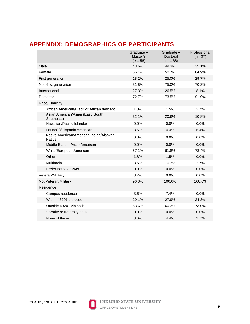# **APPENDIX: DEMOGRAPHICS OF PARTICIPANTS**

|                                                          | Graduate-<br>Master's<br>$(n = 56)$ | Graduate-<br>Doctoral<br>$(n = 68)$ | Professional<br>$(n=37)$ |
|----------------------------------------------------------|-------------------------------------|-------------------------------------|--------------------------|
| Male                                                     | 43.6%                               | 49.3%                               | 35.1%                    |
| Female                                                   | 56.4%                               | 50.7%                               | 64.9%                    |
| First generation                                         | 18.2%                               | 25.0%                               | 29.7%                    |
| Non-first generation                                     | 81.8%                               | 75.0%                               | 70.3%                    |
| International                                            | 27.3%                               | 26.5%                               | 8.1%                     |
| Domestic                                                 | 72.7%                               | 73.5%                               | 91.9%                    |
| Race/Ethnicity                                           |                                     |                                     |                          |
| African American/Black or African descent                | 1.8%                                | 1.5%                                | 2.7%                     |
| Asian American/Asian (East, South<br>Southeast)          | 32.1%                               | 20.6%                               | 10.8%                    |
| Hawaiian/Pacific Islander                                | 0.0%                                | 0.0%                                | 0.0%                     |
| Latino(a)/Hispanic American                              | 3.6%                                | 4.4%                                | 5.4%                     |
| Native American/American Indian/Alaskan<br><b>Native</b> | 0.0%                                | 0.0%                                | 0.0%                     |
| Middle Eastern/Arab American                             | 0.0%                                | 0.0%                                | 0.0%                     |
| White/European American                                  | 57.1%                               | 61.8%                               | 78.4%                    |
| Other                                                    | 1.8%                                | 1.5%                                | 0.0%                     |
| Multiracial                                              | 3.6%                                | 10.3%                               | 2.7%                     |
| Prefer not to answer                                     | 0.0%                                | 0.0%                                | 0.0%                     |
| Veteran/Military                                         | 3.7%                                | 0.0%                                | 0.0%                     |
| Not Veteran/Military                                     | 96.3%                               | 100.0%                              | 100.0%                   |
| Residence                                                |                                     |                                     |                          |
| Campus residence                                         | 3.6%                                | 7.4%                                | 0.0%                     |
| Within 43201 zip code                                    | 29.1%                               | 27.9%                               | 24.3%                    |
| Outside 43201 zip code                                   | 63.6%                               | 60.3%                               | 73.0%                    |
| Sorority or fraternity house                             | 0.0%                                | 0.0%                                | 0.0%                     |
| None of these                                            | 3.6%                                | 4.4%                                | 2.7%                     |

\**p* < .05, \*\**p* < .01, \*\*\**p* < .001



# THE OHIO STATE UNIVERSITY

OFFICE OF STUDENT LIFE